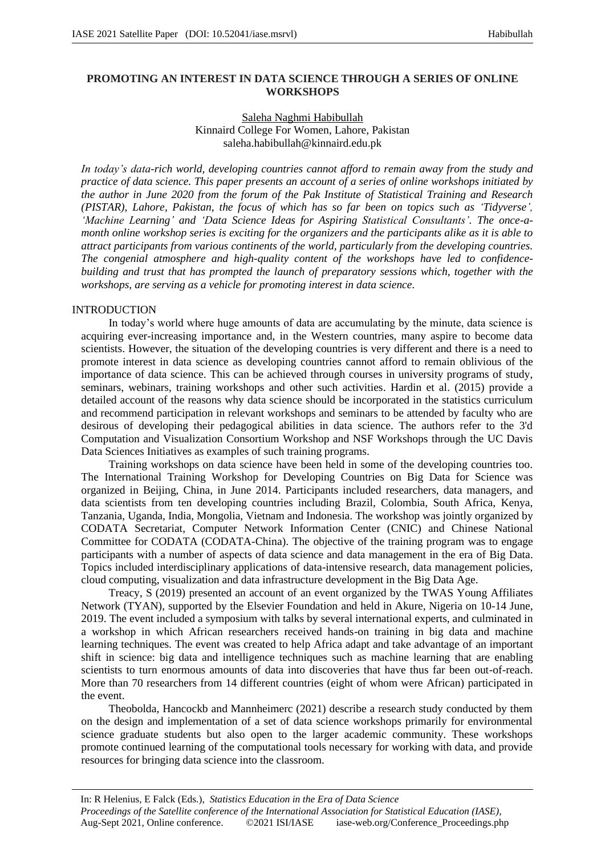# **PROMOTING AN INTEREST IN DATA SCIENCE THROUGH A SERIES OF ONLINE WORKSHOPS**

## Saleha Naghmi Habibullah Kinnaird College For Women, Lahore, Pakistan saleha.habibullah@kinnaird.edu.pk

In today's data-rich world, developing countries cannot afford to remain away from the study and *practice of data science. This paper presents an account of a series of online workshops initiated by the author in June 2020 from the forum of the Pak Institute of Statistical Training and Research (PISTAR), Lahore, Pakistan, the focus of which has so far been on topics such as 'Tidyverse', 'Machine Learning' and 'Data Science Ideas for Aspiring Statistical Consultants'. The once-amonth online workshop series is exciting for the organizers and the participants alike as it is able to attract participants from various continents of the world, particularly from the developing countries. The congenial atmosphere and high-quality content of the workshops have led to confidencebuilding and trust that has prompted the launch of preparatory sessions which, together with the workshops, are serving as a vehicle for promoting interest in data science.*

#### INTRODUCTION

In today's world where huge amounts of data are accumulating by the minute, data science is acquiring ever-increasing importance and, in the Western countries, many aspire to become data scientists. However, the situation of the developing countries is very different and there is a need to promote interest in data science as developing countries cannot afford to remain oblivious of the importance of data science. This can be achieved through courses in university programs of study, seminars, webinars, training workshops and other such activities. Hardin et al. (2015) provide a detailed account of the reasons why data science should be incorporated in the statistics curriculum and recommend participation in relevant workshops and seminars to be attended by faculty who are desirous of developing their pedagogical abilities in data science. The authors refer to the 3'd Computation and Visualization Consortium Workshop and NSF Workshops through the UC Davis Data Sciences Initiatives as examples of such training programs.

Training workshops on data science have been held in some of the developing countries too. The International Training Workshop for Developing Countries on Big Data for Science was organized in Beijing, China, in June 2014. Participants included researchers, data managers, and data scientists from ten developing countries including Brazil, Colombia, South Africa, Kenya, Tanzania, Uganda, India, Mongolia, Vietnam and Indonesia. The workshop was jointly organized by CODATA Secretariat, Computer Network Information Center (CNIC) and Chinese National Committee for CODATA (CODATA-China). The objective of the training program was to engage participants with a number of aspects of data science and data management in the era of Big Data. Topics included interdisciplinary applications of data-intensive research, data management policies, cloud computing, visualization and data infrastructure development in the Big Data Age.

Treacy, S (2019) presented an account of an event organized by the TWAS Young Affiliates Network (TYAN), supported by the Elsevier Foundation and held in Akure, Nigeria on 10-14 June, 2019. The event included a symposium with talks by several international experts, and culminated in a workshop in which African researchers received hands-on training in big data and machine learning techniques. The event was created to help Africa adapt and take advantage of an important shift in science: big data and intelligence techniques such as machine learning that are enabling scientists to turn enormous amounts of data into discoveries that have thus far been out-of-reach. More than 70 researchers from 14 different countries (eight of whom were African) participated in the event.

Theobolda, Hancockb and Mannheimerc (2021) describe a research study conducted by them on the design and implementation of a set of data science workshops primarily for environmental science graduate students but also open to the larger academic community. These workshops promote continued learning of the computational tools necessary for working with data, and provide resources for bringing data science into the classroom.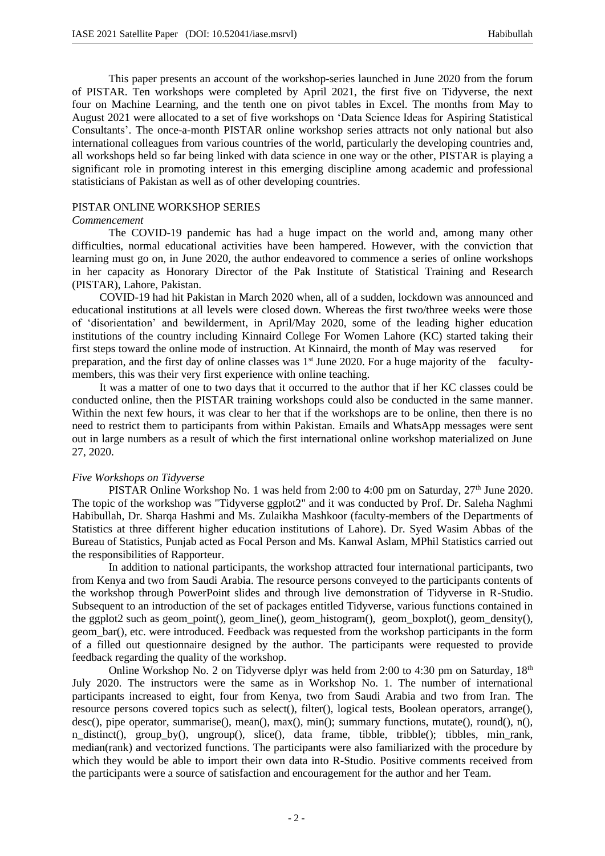This paper presents an account of the workshop-series launched in June 2020 from the forum of PISTAR. Ten workshops were completed by April 2021, the first five on Tidyverse, the next four on Machine Learning, and the tenth one on pivot tables in Excel. The months from May to August 2021 were allocated to a set of five workshops on 'Data Science Ideas for Aspiring Statistical Consultants'. The once-a-month PISTAR online workshop series attracts not only national but also international colleagues from various countries of the world, particularly the developing countries and, all workshops held so far being linked with data science in one way or the other, PISTAR is playing a significant role in promoting interest in this emerging discipline among academic and professional statisticians of Pakistan as well as of other developing countries.

#### PISTAR ONLINE WORKSHOP SERIES

#### *Commencement*

The COVID-19 pandemic has had a huge impact on the world and, among many other difficulties, normal educational activities have been hampered. However, with the conviction that learning must go on, in June 2020, the author endeavored to commence a series of online workshops in her capacity as Honorary Director of the Pak Institute of Statistical Training and Research (PISTAR), Lahore, Pakistan.

COVID-19 had hit Pakistan in March 2020 when, all of a sudden, lockdown was announced and educational institutions at all levels were closed down. Whereas the first two/three weeks were those of 'disorientation' and bewilderment, in April/May 2020, some of the leading higher education institutions of the country including Kinnaird College For Women Lahore (KC) started taking their first steps toward the online mode of instruction. At Kinnaird, the month of May was reserved for preparation, and the first day of online classes was 1<sup>st</sup> June 2020. For a huge majority of the facultymembers, this was their very first experience with online teaching.

It was a matter of one to two days that it occurred to the author that if her KC classes could be conducted online, then the PISTAR training workshops could also be conducted in the same manner. Within the next few hours, it was clear to her that if the workshops are to be online, then there is no need to restrict them to participants from within Pakistan. Emails and WhatsApp messages were sent out in large numbers as a result of which the first international online workshop materialized on June 27, 2020.

#### *Five Workshops on Tidyverse*

PISTAR Online Workshop No. 1 was held from 2:00 to 4:00 pm on Saturday,  $27<sup>th</sup>$  June 2020. The topic of the workshop was "Tidyverse ggplot2" and it was conducted by Prof. Dr. Saleha Naghmi Habibullah, Dr. Sharqa Hashmi and Ms. Zulaikha Mashkoor (faculty-members of the Departments of Statistics at three different higher education institutions of Lahore). Dr. Syed Wasim Abbas of the Bureau of Statistics, Punjab acted as Focal Person and Ms. Kanwal Aslam, MPhil Statistics carried out the responsibilities of Rapporteur.

In addition to national participants, the workshop attracted four international participants, two from Kenya and two from Saudi Arabia. The resource persons conveyed to the participants contents of the workshop through PowerPoint slides and through live demonstration of Tidyverse in R-Studio. Subsequent to an introduction of the set of packages entitled Tidyverse, various functions contained in the ggplot2 such as geom point(), geom line(), geom histogram(), geom boxplot(), geom density(), geom\_bar(), etc. were introduced. Feedback was requested from the workshop participants in the form of a filled out questionnaire designed by the author. The participants were requested to provide feedback regarding the quality of the workshop.

Online Workshop No. 2 on Tidyverse dplyr was held from 2:00 to 4:30 pm on Saturday,  $18<sup>th</sup>$ July 2020. The instructors were the same as in Workshop No. 1. The number of international participants increased to eight, four from Kenya, two from Saudi Arabia and two from Iran. The resource persons covered topics such as select(), filter(), logical tests, Boolean operators, arrange(), desc(), pipe operator, summarise(), mean(), max(), min(); summary functions, mutate(), round(), n(), n\_distinct(), group\_by(), ungroup(), slice(), data frame, tibble, tribble(); tibbles, min\_rank, median(rank) and vectorized functions. The participants were also familiarized with the procedure by which they would be able to import their own data into R-Studio. Positive comments received from the participants were a source of satisfaction and encouragement for the author and her Team.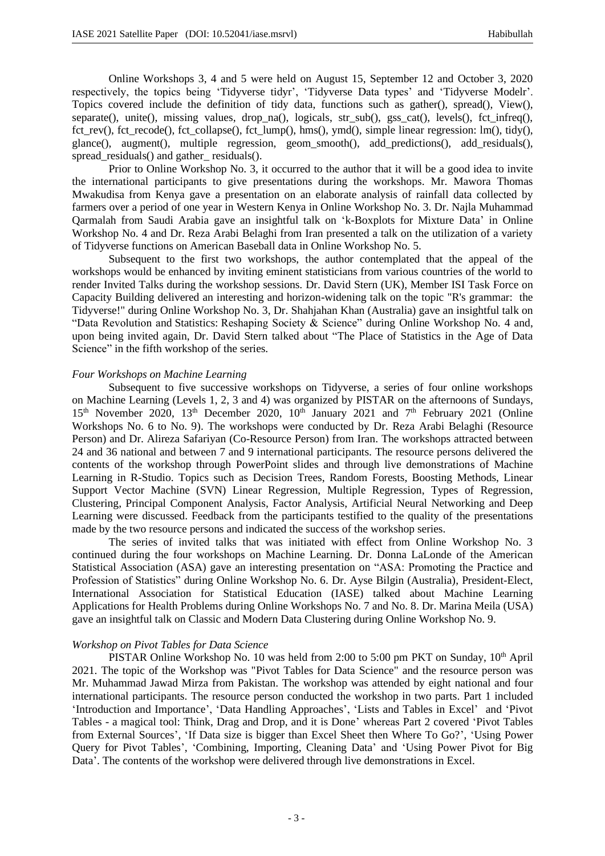Online Workshops 3, 4 and 5 were held on August 15, September 12 and October 3, 2020 respectively, the topics being 'Tidyverse tidyr', 'Tidyverse Data types' and 'Tidyverse Modelr'. Topics covered include the definition of tidy data, functions such as gather(), spread(), View(), separate(), unite(), missing values, drop na(), logicals, str sub(), gss cat(), levels(), fct infreq(), fct rev(), fct recode(), fct collapse(), fct lump(), hms(), ymd(), simple linear regression: lm(), tidy(), glance(), augment(), multiple regression, geom\_smooth(), add\_predictions(), add\_residuals(), spread\_residuals() and gather\_residuals().

Prior to Online Workshop No. 3, it occurred to the author that it will be a good idea to invite the international participants to give presentations during the workshops. Mr. Mawora Thomas Mwakudisa from Kenya gave a presentation on an elaborate analysis of rainfall data collected by farmers over a period of one year in Western Kenya in Online Workshop No. 3. Dr. Najla Muhammad Qarmalah from Saudi Arabia gave an insightful talk on 'k-Boxplots for Mixture Data' in Online Workshop No. 4 and Dr. Reza Arabi Belaghi from Iran presented a talk on the utilization of a variety of Tidyverse functions on American Baseball data in Online Workshop No. 5.

Subsequent to the first two workshops, the author contemplated that the appeal of the workshops would be enhanced by inviting eminent statisticians from various countries of the world to render Invited Talks during the workshop sessions. Dr. David Stern (UK), Member ISI Task Force on Capacity Building delivered an interesting and horizon-widening talk on the topic "R's grammar: the Tidyverse!" during Online Workshop No. 3, Dr. Shahjahan Khan (Australia) gave an insightful talk on "Data Revolution and Statistics: Reshaping Society & Science" during Online Workshop No. 4 and, upon being invited again, Dr. David Stern talked about "The Place of Statistics in the Age of Data Science" in the fifth workshop of the series.

### *Four Workshops on Machine Learning*

Subsequent to five successive workshops on Tidyverse, a series of four online workshops on Machine Learning (Levels 1, 2, 3 and 4) was organized by PISTAR on the afternoons of Sundays,  $15<sup>th</sup>$  November 2020,  $13<sup>th</sup>$  December 2020,  $10<sup>th</sup>$  January 2021 and  $7<sup>th</sup>$  February 2021 (Online Workshops No. 6 to No. 9). The workshops were conducted by Dr. Reza Arabi Belaghi (Resource Person) and Dr. Alireza Safariyan (Co-Resource Person) from Iran. The workshops attracted between 24 and 36 national and between 7 and 9 international participants. The resource persons delivered the contents of the workshop through PowerPoint slides and through live demonstrations of Machine Learning in R-Studio. Topics such as Decision Trees, Random Forests, Boosting Methods, Linear Support Vector Machine (SVN) Linear Regression, Multiple Regression, Types of Regression, Clustering, Principal Component Analysis, Factor Analysis, Artificial Neural Networking and Deep Learning were discussed. Feedback from the participants testified to the quality of the presentations made by the two resource persons and indicated the success of the workshop series.

The series of invited talks that was initiated with effect from Online Workshop No. 3 continued during the four workshops on Machine Learning. Dr. Donna LaLonde of the American Statistical Association (ASA) gave an interesting presentation on "ASA: Promoting the Practice and Profession of Statistics" during Online Workshop No. 6. Dr. Ayse Bilgin (Australia), President-Elect, International Association for Statistical Education (IASE) talked about Machine Learning Applications for Health Problems during Online Workshops No. 7 and No. 8. Dr. Marina Meila (USA) gave an insightful talk on Classic and Modern Data Clustering during Online Workshop No. 9.

## *Workshop on Pivot Tables for Data Science*

PISTAR Online Workshop No. 10 was held from 2:00 to 5:00 pm PKT on Sunday, 10<sup>th</sup> April 2021. The topic of the Workshop was "Pivot Tables for Data Science" and the resource person was Mr. Muhammad Jawad Mirza from Pakistan. The workshop was attended by eight national and four international participants. The resource person conducted the workshop in two parts. Part 1 included 'Introduction and Importance', 'Data Handling Approaches', 'Lists and Tables in Excel' and 'Pivot Tables - a magical tool: Think, Drag and Drop, and it is Done' whereas Part 2 covered 'Pivot Tables from External Sources', 'If Data size is bigger than Excel Sheet then Where To Go?', 'Using Power Query for Pivot Tables', 'Combining, Importing, Cleaning Data' and 'Using Power Pivot for Big Data'. The contents of the workshop were delivered through live demonstrations in Excel.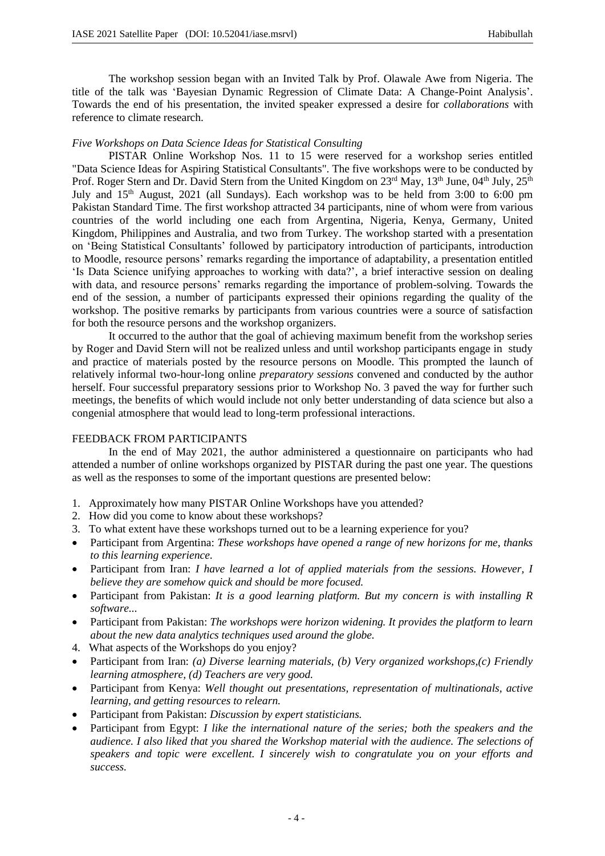The workshop session began with an Invited Talk by Prof. Olawale Awe from Nigeria. The title of the talk was 'Bayesian Dynamic Regression of Climate Data: A Change-Point Analysis'. Towards the end of his presentation, the invited speaker expressed a desire for *collaborations* with reference to climate research.

## *Five Workshops on Data Science Ideas for Statistical Consulting*

PISTAR Online Workshop Nos. 11 to 15 were reserved for a workshop series entitled "Data Science Ideas for Aspiring Statistical Consultants". The five workshops were to be conducted by Prof. Roger Stern and Dr. David Stern from the United Kingdom on 23<sup>rd</sup> May, 13<sup>th</sup> June, 04<sup>th</sup> July, 25<sup>th</sup> July and 15<sup>th</sup> August, 2021 (all Sundays). Each workshop was to be held from 3:00 to 6:00 pm Pakistan Standard Time. The first workshop attracted 34 participants, nine of whom were from various countries of the world including one each from Argentina, Nigeria, Kenya, Germany, United Kingdom, Philippines and Australia, and two from Turkey. The workshop started with a presentation on 'Being Statistical Consultants' followed by participatory introduction of participants, introduction to Moodle, resource persons' remarks regarding the importance of adaptability, a presentation entitled 'Is Data Science unifying approaches to working with data?', a brief interactive session on dealing with data, and resource persons' remarks regarding the importance of problem-solving. Towards the end of the session, a number of participants expressed their opinions regarding the quality of the workshop. The positive remarks by participants from various countries were a source of satisfaction for both the resource persons and the workshop organizers.

It occurred to the author that the goal of achieving maximum benefit from the workshop series by Roger and David Stern will not be realized unless and until workshop participants engage in study and practice of materials posted by the resource persons on Moodle. This prompted the launch of relatively informal two-hour-long online *preparatory sessions* convened and conducted by the author herself. Four successful preparatory sessions prior to Workshop No. 3 paved the way for further such meetings, the benefits of which would include not only better understanding of data science but also a congenial atmosphere that would lead to long-term professional interactions.

## FEEDBACK FROM PARTICIPANTS

In the end of May 2021, the author administered a questionnaire on participants who had attended a number of online workshops organized by PISTAR during the past one year. The questions as well as the responses to some of the important questions are presented below:

- 1. Approximately how many PISTAR Online Workshops have you attended?
- 2. How did you come to know about these workshops?
- 3. To what extent have these workshops turned out to be a learning experience for you?
- Participant from Argentina: *These workshops have opened a range of new horizons for me, thanks to this learning experience.*
- Participant from Iran: *I have learned a lot of applied materials from the sessions. However, I believe they are somehow quick and should be more focused.*
- Participant from Pakistan: *It is a good learning platform. But my concern is with installing R software...*
- Participant from Pakistan: *The workshops were horizon widening. It provides the platform to learn about the new data analytics techniques used around the globe.*
- 4. What aspects of the Workshops do you enjoy?
- Participant from Iran: *(a) Diverse learning materials, (b) Very organized workshops,(c) Friendly learning atmosphere, (d) Teachers are very good.*
- Participant from Kenya: *Well thought out presentations, representation of multinationals, active learning, and getting resources to relearn.*
- Participant from Pakistan: *Discussion by expert statisticians.*
- Participant from Egypt: *I like the international nature of the series; both the speakers and the audience. I also liked that you shared the Workshop material with the audience. The selections of speakers and topic were excellent. I sincerely wish to congratulate you on your efforts and success.*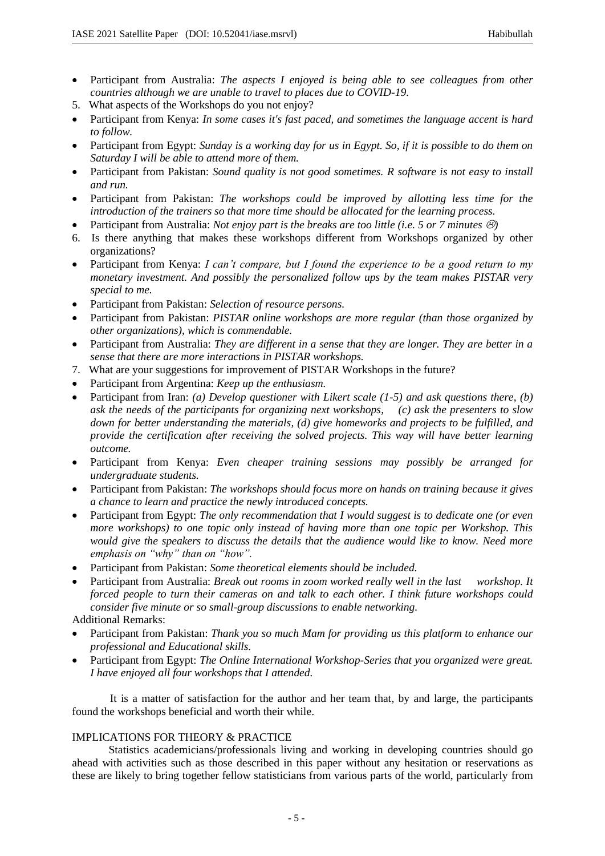- Participant from Australia: *The aspects I enjoyed is being able to see colleagues from other countries although we are unable to travel to places due to COVID-19.*
- 5. What aspects of the Workshops do you not enjoy?
- Participant from Kenya: *In some cases it's fast paced, and sometimes the language accent is hard to follow.*
- Participant from Egypt: *Sunday is a working day for us in Egypt. So, if it is possible to do them on Saturday I will be able to attend more of them.*
- Participant from Pakistan: *Sound quality is not good sometimes. R software is not easy to install and run.*
- Participant from Pakistan: *The workshops could be improved by allotting less time for the introduction of the trainers so that more time should be allocated for the learning process.*
- Participant from Australia: *Not enjoy part is the breaks are too little (i.e. 5 or 7 minutes*  $\circled$ *)*
- 6. Is there anything that makes these workshops different from Workshops organized by other organizations?
- Participant from Kenya: *I can't compare, but I found the experience to be a good return to my monetary investment. And possibly the personalized follow ups by the team makes PISTAR very special to me.*
- Participant from Pakistan: *Selection of resource persons.*
- Participant from Pakistan: *PISTAR online workshops are more regular (than those organized by other organizations), which is commendable.*
- Participant from Australia: *They are different in a sense that they are longer. They are better in a sense that there are more interactions in PISTAR workshops.*
- 7. What are your suggestions for improvement of PISTAR Workshops in the future?
- Participant from Argentina: *Keep up the enthusiasm.*
- Participant from Iran: *(a) Develop questioner with Likert scale (1-5) and ask questions there, (b) ask the needs of the participants for organizing next workshops, (c) ask the presenters to slow down for better understanding the materials, (d) give homeworks and projects to be fulfilled, and provide the certification after receiving the solved projects. This way will have better learning outcome.*
- Participant from Kenya: *Even cheaper training sessions may possibly be arranged for undergraduate students.*
- Participant from Pakistan: *The workshops should focus more on hands on training because it gives a chance to learn and practice the newly introduced concepts.*
- Participant from Egypt: *The only recommendation that I would suggest is to dedicate one (or even more workshops) to one topic only instead of having more than one topic per Workshop. This would give the speakers to discuss the details that the audience would like to know. Need more emphasis on "why" than on "how".*
- Participant from Pakistan: *Some theoretical elements should be included.*
- Participant from Australia: *Break out rooms in zoom worked really well in the last workshop. It forced people to turn their cameras on and talk to each other. I think future workshops could consider five minute or so small-group discussions to enable networking.*

Additional Remarks:

- Participant from Pakistan: *Thank you so much Mam for providing us this platform to enhance our professional and Educational skills.*
- Participant from Egypt: *The Online International Workshop-Series that you organized were great. I have enjoyed all four workshops that I attended.*

 It is a matter of satisfaction for the author and her team that, by and large, the participants found the workshops beneficial and worth their while.

## IMPLICATIONS FOR THEORY & PRACTICE

Statistics academicians/professionals living and working in developing countries should go ahead with activities such as those described in this paper without any hesitation or reservations as these are likely to bring together fellow statisticians from various parts of the world, particularly from